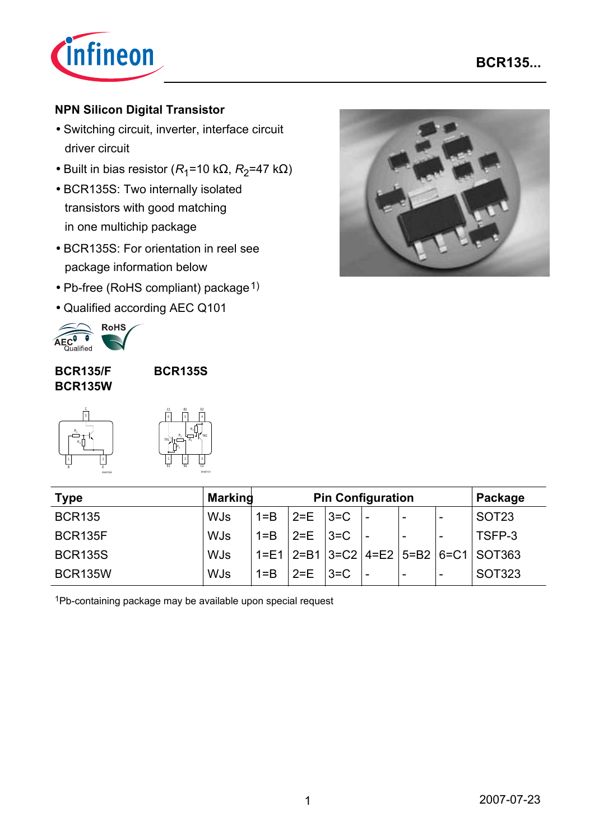

### **NPN Silicon Digital Transistor**

- Switching circuit, inverter, interface circuit driver circuit
- Built in bias resistor ( $R_1$ =10 kΩ,  $R_2$ =47 kΩ)
- BCR135S: Two internally isolated transistors with good matching in one multichip package
- BCR135S: For orientation in reel see package information below
- Pb-free (RoHS compliant) package  $1$ )
- Qualified according AEC Q101



### **BCR135/F BCR135W**

**BCR135S**



| C1<br>6 | <b>B2</b><br>5       |                | E <sub>2</sub>      |
|---------|----------------------|----------------|---------------------|
| TR1     | R,<br>R,             | $R_2$<br>$R_1$ | TR <sub>2</sub>     |
| E1      | $\overline{2}$<br>R1 |                | 3<br>$\overline{C}$ |

| <b>Type</b>    | <b>Marking</b> | <b>Pin Configuration</b> |               |         |     | Package                  |                          |                                                      |
|----------------|----------------|--------------------------|---------------|---------|-----|--------------------------|--------------------------|------------------------------------------------------|
| <b>BCR135</b>  | <b>WJs</b>     | $1 = B$                  | $2=E$   $3=C$ |         | ' – | $\blacksquare$           | -                        | SOT <sub>23</sub>                                    |
| BCR135F        | <b>WJs</b>     | $1 = B$                  | 2=E   3=C     |         |     | $\overline{\phantom{a}}$ |                          | TSFP-3                                               |
| <b>BCR135S</b> | <b>WJs</b>     |                          |               |         |     |                          |                          | $1 = E1$   2=B1   3=C2   4=E2   5=B2   6=C1   SOT363 |
| <b>BCR135W</b> | <b>WJs</b>     | $1 = B$                  | $2 = E$       | $ 3=$ C |     | $\overline{\phantom{a}}$ | $\overline{\phantom{a}}$ | SOT323                                               |

1Pb-containing package may be available upon special request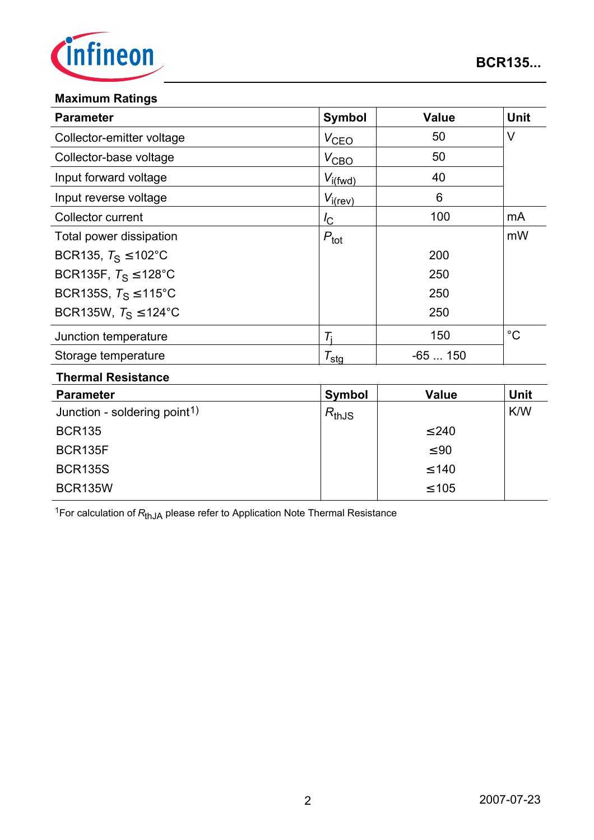

### **Maximum Ratings**

| <b>Parameter</b>                 | <b>Symbol</b>       | <b>Value</b> | <b>Unit</b> |
|----------------------------------|---------------------|--------------|-------------|
| Collector-emitter voltage        | $V_{\text{CEO}}$    | 50           | $\vee$      |
| Collector-base voltage           | $V_{\text{CBO}}$    | 50           |             |
| Input forward voltage            | $V_{i(fwd)}$        | 40           |             |
| Input reverse voltage            | $V_{i(rev)}$        | 6            |             |
| Collector current                | $I_{\rm C}$         | 100          | mA          |
| Total power dissipation          | $P_{\text{tot}}$    |              | mW          |
| BCR135, $T_S \le 102^{\circ}$ C  |                     | 200          |             |
| BCR135F, $T_S \le 128^{\circ}$ C |                     | 250          |             |
| BCR135S, $T_S \le 115^{\circ}$ C |                     | 250          |             |
| BCR135W, $T_S \le 124$ °C        |                     | 250          |             |
| Junction temperature             | Ti                  | 150          | $^{\circ}C$ |
| Storage temperature              | $\tau_{\text{stg}}$ | $-65150$     |             |
| Thormal Dociatonoo               |                     |              |             |

#### **Thermal Resistance**

| <b>Parameter</b>                         | Symbol     | <b>Value</b> | <b>Unit</b> |
|------------------------------------------|------------|--------------|-------------|
| Junction - soldering point <sup>1)</sup> | $R_{thJS}$ |              | <b>K/W</b>  |
| <b>BCR135</b>                            |            | $\leq 240$   |             |
| BCR135F                                  |            | $\leq 90$    |             |
| <b>BCR135S</b>                           |            | $\leq 140$   |             |
| <b>BCR135W</b>                           |            | $\leq 105$   |             |

<sup>1</sup>For calculation of  $R_{thJA}$  please refer to Application Note Thermal Resistance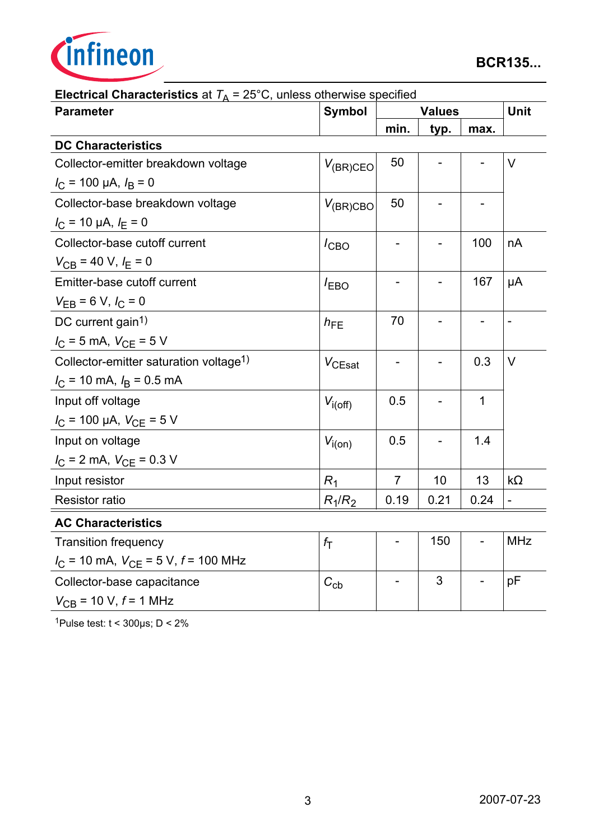

| <b>Parameter</b>                                             | Symbol           | <b>Values</b>            |      |                | <b>Unit</b>       |
|--------------------------------------------------------------|------------------|--------------------------|------|----------------|-------------------|
|                                                              |                  | min.                     | typ. | max.           |                   |
| <b>DC Characteristics</b>                                    |                  |                          |      |                |                   |
| Collector-emitter breakdown voltage                          | $V_{(BR)CEO}$    | 50                       |      |                | $\vee$            |
| $I_{\rm C}$ = 100 µA, $I_{\rm B}$ = 0                        |                  |                          |      |                |                   |
| Collector-base breakdown voltage                             | $V_{(BR)CBO}$    | 50                       |      |                |                   |
| $I_{\rm C}$ = 10 µA, $I_{\rm E}$ = 0                         |                  |                          |      |                |                   |
| Collector-base cutoff current                                | $I_{CBO}$        |                          |      | 100            | nA                |
| $V_{CB}$ = 40 V, $I_E$ = 0                                   |                  |                          |      |                |                   |
| Emitter-base cutoff current                                  | $I_{EBO}$        |                          |      | 167            | μA                |
| $V_{EB} = 6 V, I_C = 0$                                      |                  |                          |      |                |                   |
| DC current gain <sup>1)</sup>                                | $h_{FE}$         | 70                       |      | $\overline{a}$ | $\qquad \qquad -$ |
| $I_C = 5$ mA, $V_{CE} = 5$ V                                 |                  |                          |      |                |                   |
| Collector-emitter saturation voltage <sup>1)</sup>           | $V_{CEsat}$      |                          |      | 0.3            | $\vee$            |
| $I_{\rm C}$ = 10 mA, $I_{\rm B}$ = 0.5 mA                    |                  |                          |      |                |                   |
| Input off voltage                                            | $V_{i(off)}$     | 0.5                      |      | 1              |                   |
| $I_{\rm C}$ = 100 µA, $V_{\rm CE}$ = 5 V                     |                  |                          |      |                |                   |
| Input on voltage                                             | $V_{i(on)}$      | 0.5                      |      | 1.4            |                   |
| $I_{\rm C}$ = 2 mA, $V_{\rm CE}$ = 0.3 V                     |                  |                          |      |                |                   |
| Input resistor                                               | $R_1$            | $\overline{7}$           | 10   | 13             | $k\Omega$         |
| <b>Resistor ratio</b>                                        | $R_1/R_2$        | 0.19                     | 0.21 | 0.24           | $\overline{a}$    |
| <b>AC Characteristics</b>                                    |                  |                          |      |                |                   |
| <b>Transition frequency</b>                                  | $f_{\mathsf{T}}$ | $\overline{\phantom{0}}$ | 150  |                | <b>MHz</b>        |
| $I_{\text{C}}$ = 10 mA, $V_{\text{CE}}$ = 5 V, $f$ = 100 MHz |                  |                          |      |                |                   |
| Collector-base capacitance                                   | $C_{\rm cb}$     |                          | 3    |                | pF                |
| $V_{CB}$ = 10 V, $f$ = 1 MHz                                 |                  |                          |      |                |                   |

**Electrical Characteristics** at  $T_A = 25^\circ \text{C}$ , unless otherwise specified

1Pulse test:  $t < 300 \mu s$ ;  $D < 2\%$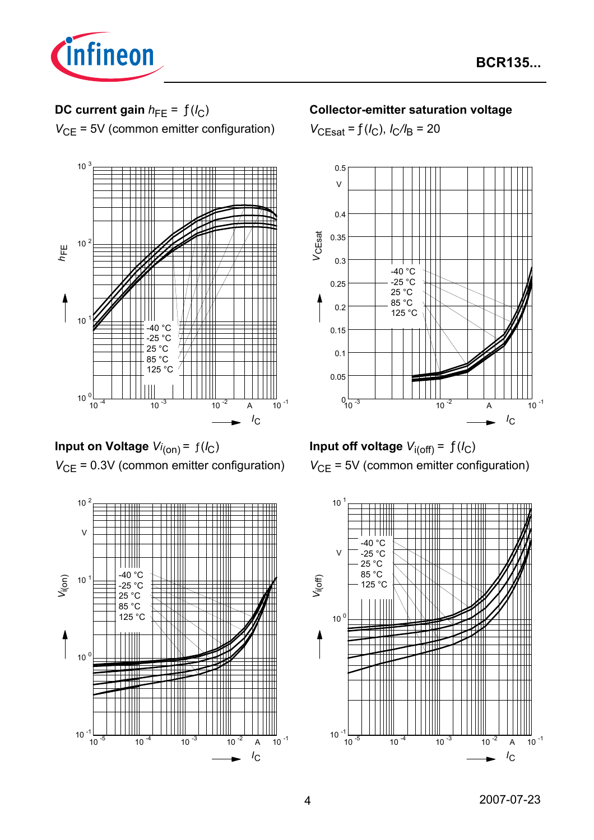

# **DC current gain**  $h_{FE} = f(l_C)$

*V*<sub>CE</sub> = 5V (common emitter configuration)



**Input on Voltage**  $Vi_{(on)} = f(I_C)$ *V*<sub>CE</sub> = 0.3V (common emitter configuration)



### **Collector-emitter saturation voltage**

 $V_{\text{CEsat}} = f(I_{\text{C}}), I_{\text{C}}/I_{\text{B}} = 20$ 



**Input off voltage**  $V_{i(off)} = f(I_C)$ *V*<sub>CE</sub> = 5V (common emitter configuration)

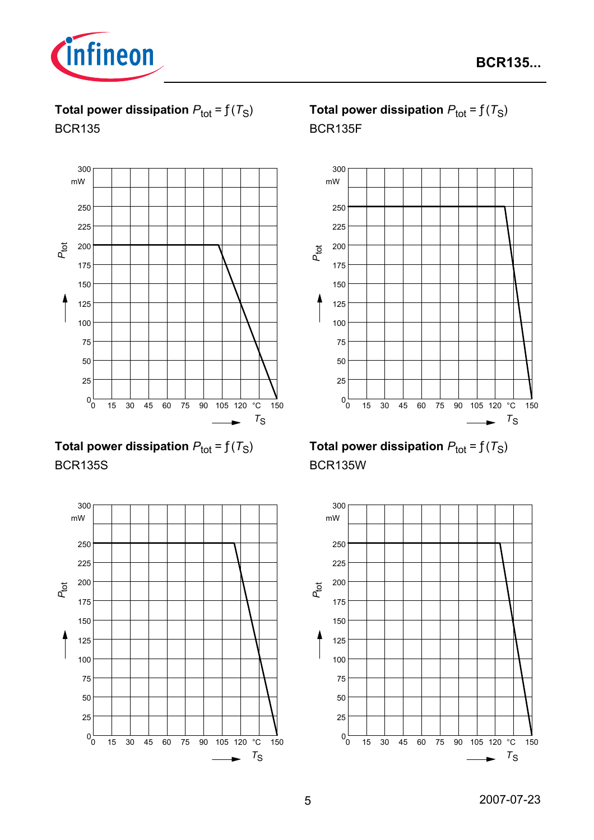

**Total power dissipation**  $P_{\text{tot}} = f(T_S)$ BCR135



**Total power dissipation**  $P_{\text{tot}} = f(T_S)$ BCR135S



**Total power dissipation**  $P_{\text{tot}} = f(T_S)$ BCR135F



**Total power dissipation**  $P_{\text{tot}} = f(T_S)$ BCR135W

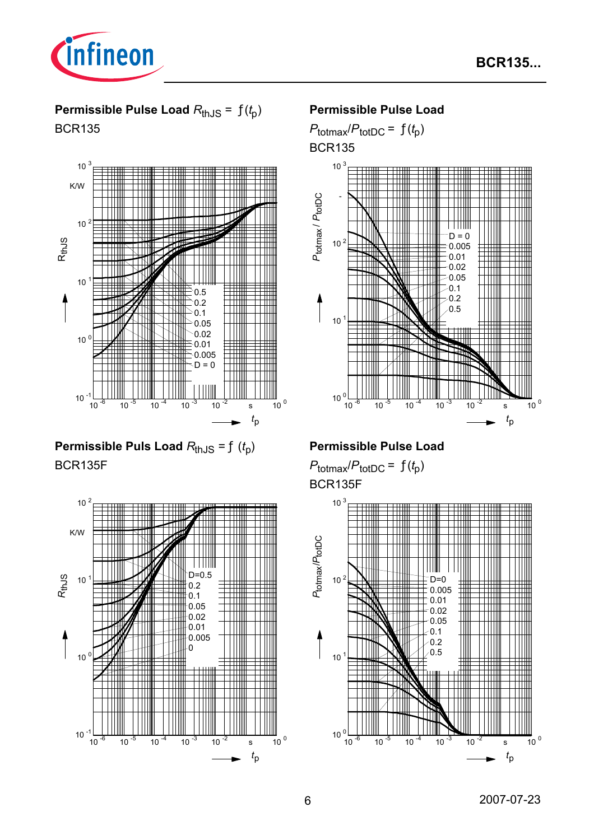

**Permissible Pulse Load** *R*thJS = ƒ(*t* p) BCR135



**Permissible Puls Load**  $R_{thJS} = f(t_p)$ BCR135F



### **Permissible Pulse Load**

 $P_{\text{totmax}}/P_{\text{totDC}} = f(t_p)$ BCR135



### **Permissible Pulse Load**

 $P_{\text{totmax}}/P_{\text{totDC}} = f(t_p)$ BCR135F

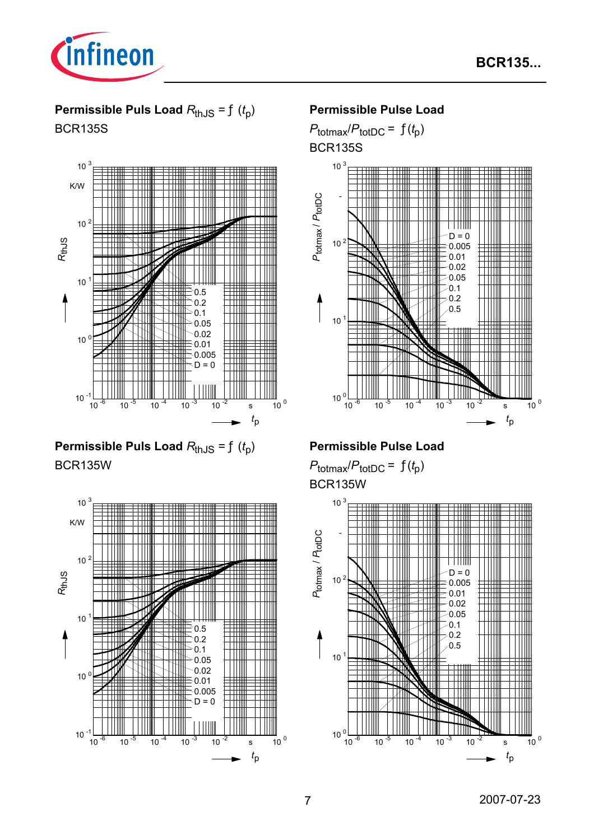

# **Permissible Puls Load**  $R_{thJS} = f(t_p)$ BCR135S



**Permissible Puls Load**  $R_{thJS} = f(t_p)$ BCR135W



### **Permissible Pulse Load**

 $P_{\text{totmax}}/P_{\text{totDC}} = f(t_p)$ BCR135S



## **Permissible Pulse Load**

 $P_{\text{totmax}}/P_{\text{totDC}} = f(t_p)$ BCR135W

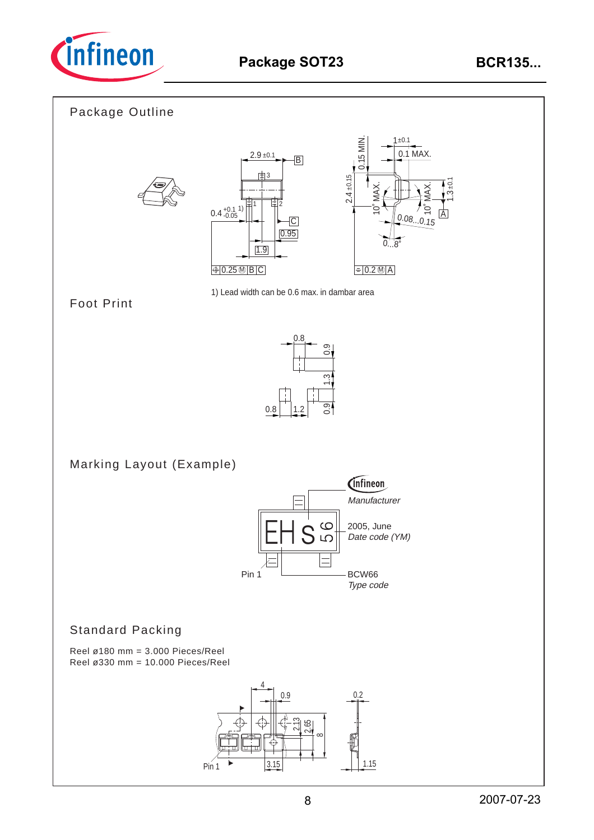

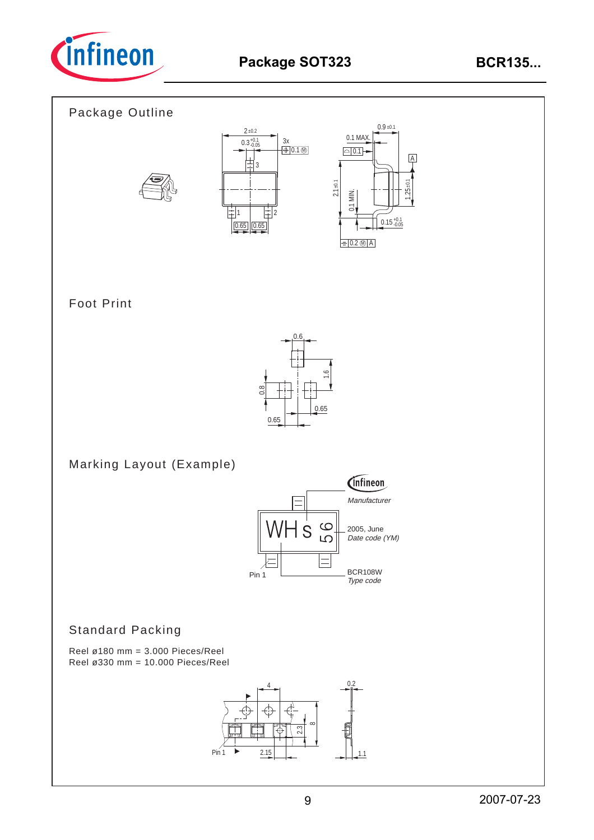

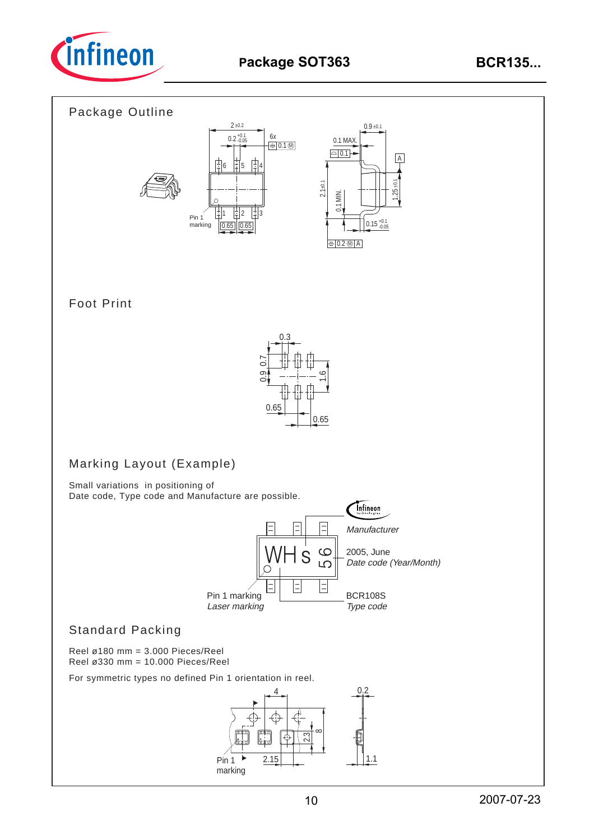

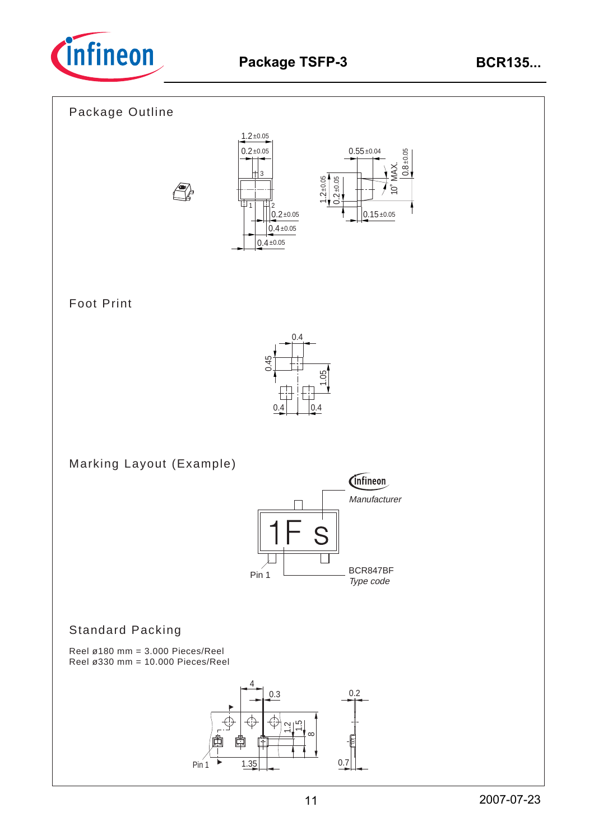









# Foot Print



Marking Layout (Example)



# Standard Packing

Reel ø180 mm = 3.000 Pieces/Reel Reel ø330 mm = 10.000 Pieces/Reel